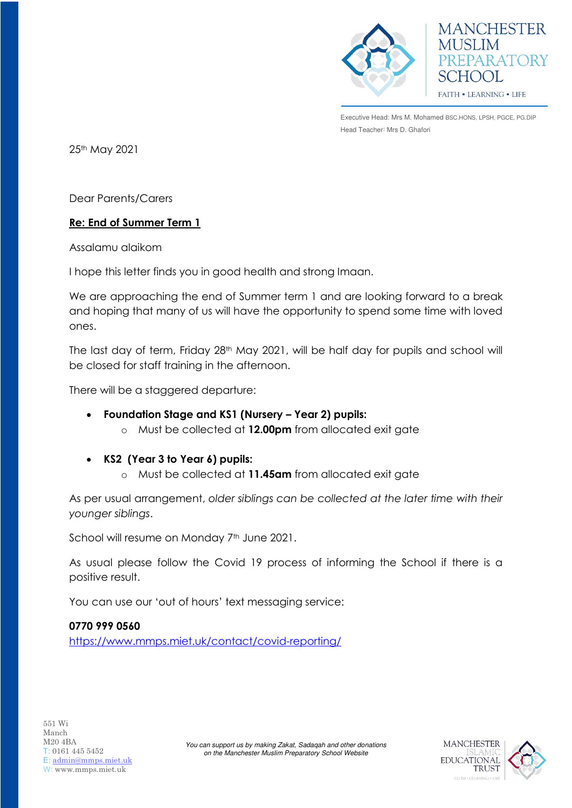



Executive Head: Mrs M. Mohamed BSC.HONS, LPSH, PGCE, PG.DIP Head Teacher: Mrs D. Ghafori

25th May 2021

Dear Parents/Carers

## **Re: End of Summer Term 1**

Assalamu alaikom

I hope this letter finds you in good health and strong Imaan.

We are approaching the end of Summer term 1 and are looking forward to a break and hoping that many of us will have the opportunity to spend some time with loved ones.

The last day of term, Friday 28<sup>th</sup> May 2021, will be half day for pupils and school will be closed for staff training in the afternoon.

There will be a staggered departure:

- **Foundation Stage and KS1 (Nursery – Year 2) pupils:**
	- o Must be collected at **12.00pm** from allocated exit gate
- **KS2 (Year 3 to Year 6) pupils:**
	- o Must be collected at **11.45am** from allocated exit gate

As per usual arrangement, *older siblings can be collected at the later time with their younger siblings*.

School will resume on Monday 7<sup>th</sup> June 2021.

As usual please follow the Covid 19 process of informing the School if there is a positive result.

> *You can support us by making Zakat, Sadaqah and other donations on the Manchester Muslim Preparatory School Website*

You can use our 'out of hours' text messaging service:

**0770 999 0560**

<https://www.mmps.miet.uk/contact/covid-reporting/>